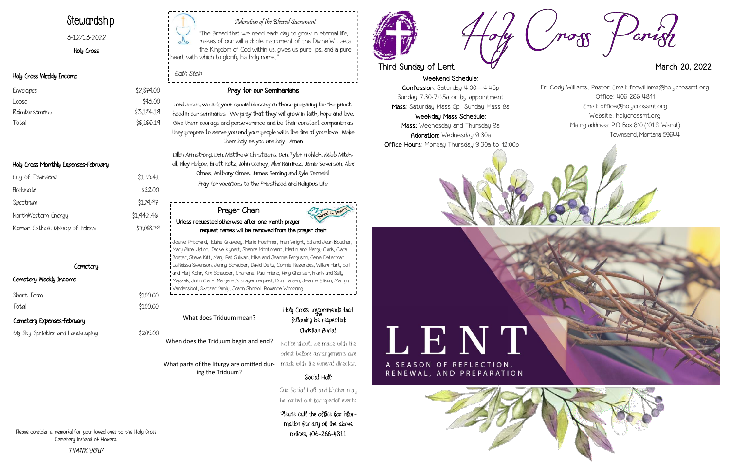Weekend Schedule: Confession: Saturday 4:00—4:45p Sunday 7:30-7:45a or by appointment Mass: Saturday Mass 5p Sunday Mass 8a Weekday Mass Schedule:

Mass: Wednesday and Thursday 9a Adoration: Wednesday 9:30a Office Hours: Monday-Thursday 9:30a to 12:00p



# L E N T A SEASON OF REFLECTION,

RENEWAL, AND PREPARATION





#### Adoration of the Blessed Sacrament

"The Bread that we need each day to grow in eternal life, makes of our will a docile instrument of the Divine Will; sets the Kingdom of God within us; gives us pure lips, and a pure heart with which to glorify his holy name, "

- Edith Stein

## Stewardship

#### 3-12/13-2022

Holy Cross

#### Holy Cross Weekly Income

### Holy Cross Monthly Expenses-February

| City of Townsend                | \$173.41   |
|---------------------------------|------------|
| Flocknote                       | \$22.00    |
| Spectrum                        | \$129.97   |
| NorthWestern Energy             | \$1,942.46 |
| Roman Catholic Bishop of Helena | \$7,088.79 |
|                                 |            |

#### **Cemetery**

 $$100.00$  $$100.00$ 

| \$2,879.00 |
|------------|
| \$93.00    |
| \$3,194.19 |
| \$6,166.19 |
|            |

#### Cemetery Weekly Income

| Short Term |  |
|------------|--|
| Total      |  |

### Pray for our Seminarians

What parts of the liturgy are omitted dur- made with the funeral director. ing the Triduum?

## Holy Cross recommends that following be respected: Christian Burial:

Lord Jesus, we ask your special blessing on those preparing for the priesthood in our seminaries. We pray that they will grow in faith, hope and love. Give them courage and perseverance and be their constant companion as they prepare to serve you and your people with the fire of your love. Make them holy as you are holy. Amen.

Dillon Armstrong, Dcn. Matthew Christiaens, Dcn. Tyler Frohlich, Kaleb Mitchell, Riley Helgoe, Brett Rotz, John Cooney, Alex Ramirez, Jamie Severson, Alex Olmes, Anthony Olmes, James Semling and Kyle Tannehill. Pray for vocations to the Priesthood and Religious Life.

Please consider a memorial for your loved ones to the Holy Cross Cemetery instead of flowers. **THANK YOU!**

What does Triduum mean?

When does the Triduum begin and end?

Notice should be made with the priest before arrangements are

#### Social Hall:

Our Social Hall and kitchen may be rented out for special events.

Please call the office for information for any of the above notices, 406-266-4811.



## Third Sunday of Lent **March 20, 2022**

#### Prayer Chain Unless requested otherwise after one month prayer request names will be removed from the prayer chain:

Joanie Pritchard, Elaine Graveley, Marie Hoeffner, Fran Wright, Ed and Jean Boucher, Mary Alice Upton, Jackie Kynett, Shanna Montonario, Martin and Margy Clark, Clara Boster, Steve Kitt, Mary Pat Sullivan, Mike and Jeannie Ferguson, Gene Determan, LaReissa Swenson, Jenny Schauber, David Deitz, Connie Rezendes, William Hart, Earl and Marj Kohn, Kim Schauber, Charlene, Paul Friend, Amy Ghorsen, Frank and Sally Majszak, John Clark, Margaret's prayer request, Don Larsen, Jeanne Ellison, Marilyn Vandersloot, Switzer family, Joann Shindoll, Roxanne Woodring

Fr. Cody Williams, Pastor Email: frcwilliams@holycrossmt.org Office: 406-266-4811 Email: office@holycrossmt.org Website: holycrossmt.org Mailing address: P.O. Box 610 (101 S. Walnut) Townsend, Montana 59644



#### Cemetery Expenses-February

big Sky Sprinkler and Landscaping \$205.00